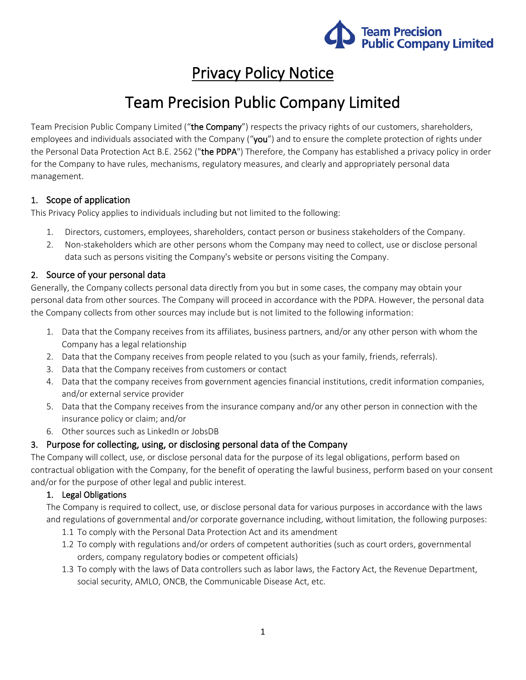

## Privacy Policy Notice

# Team Precision Public Company Limited

Team Precision Public Company Limited ("the Company") respects the privacy rights of our customers, shareholders, employees and individuals associated with the Company ("you") and to ensure the complete protection of rights under the Personal Data Protection Act B.E. 2562 ("the PDPA") Therefore, the Company has established a privacy policy in order for the Company to have rules, mechanisms, regulatory measures, and clearly and appropriately personal data management.

### 1. Scope of application

This Privacy Policy applies to individuals including but not limited to the following:

- 1. Directors, customers, employees, shareholders, contact person or business stakeholders of the Company.
- 2. Non-stakeholders which are other persons whom the Company may need to collect, use or disclose personal data such as persons visiting the Company's website or persons visiting the Company.

### 2. Source of your personal data

Generally, the Company collects personal data directly from you but in some cases, the company may obtain your personal data from other sources. The Company will proceed in accordance with the PDPA. However, the personal data the Company collects from other sources may include but is not limited to the following information:

- 1. Data that the Company receives from its affiliates, business partners, and/or any other person with whom the Company has a legal relationship
- 2. Data that the Company receives from people related to you (such as your family, friends, referrals).
- 3. Data that the Company receives from customers or contact
- 4. Data that the company receives from government agencies financial institutions, credit information companies, and/or external service provider
- 5. Data that the Company receives from the insurance company and/or any other person in connection with the insurance policy or claim; and/or
- 6. Other sources such as LinkedIn or JobsDB

#### 3. Purpose for collecting, using, or disclosing personal data of the Company

The Company will collect, use, or disclose personal data for the purpose of its legal obligations, perform based on contractual obligation with the Company, for the benefit of operating the lawful business, perform based on your consent and/or for the purpose of other legal and public interest.

#### 1. Legal Obligations

The Company is required to collect, use, or disclose personal data for various purposes in accordance with the laws and regulations of governmental and/or corporate governance including, without limitation, the following purposes:

- 1.1 To comply with the Personal Data Protection Act and its amendment
- 1.2 To comply with regulations and/or orders of competent authorities (such as court orders, governmental orders, company regulatory bodies or competent officials)
- 1.3 To comply with the laws of Data controllers such as labor laws, the Factory Act, the Revenue Department, social security, AMLO, ONCB, the Communicable Disease Act, etc.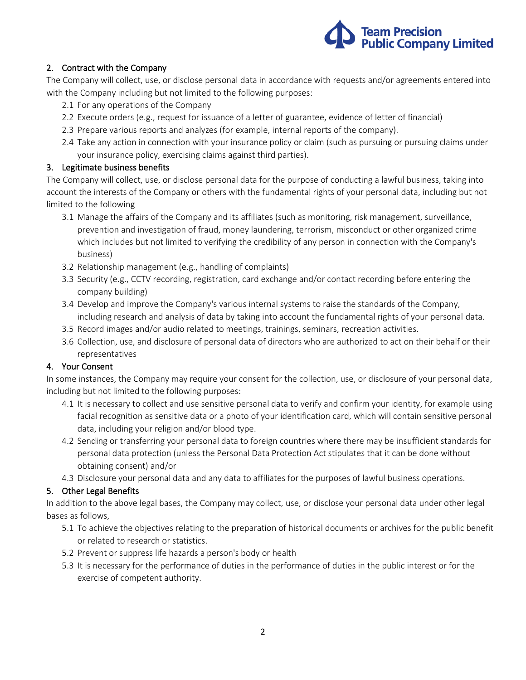

#### 2. Contract with the Company

The Company will collect, use, or disclose personal data in accordance with requests and/or agreements entered into with the Company including but not limited to the following purposes:

- 2.1 For any operations of the Company
- 2.2 Execute orders (e.g., request for issuance of a letter of guarantee, evidence of letter of financial)
- 2.3 Prepare various reports and analyzes (for example, internal reports of the company).
- 2.4 Take any action in connection with your insurance policy or claim (such as pursuing or pursuing claims under your insurance policy, exercising claims against third parties).

#### 3. Legitimate business benefits

The Company will collect, use, or disclose personal data for the purpose of conducting a lawful business, taking into account the interests of the Company or others with the fundamental rights of your personal data, including but not limited to the following

- 3.1 Manage the affairs of the Company and its affiliates (such as monitoring, risk management, surveillance, prevention and investigation of fraud, money laundering, terrorism, misconduct or other organized crime which includes but not limited to verifying the credibility of any person in connection with the Company's business)
- 3.2 Relationship management (e.g., handling of complaints)
- 3.3 Security (e.g., CCTV recording, registration, card exchange and/or contact recording before entering the company building)
- 3.4 Develop and improve the Company's various internal systems to raise the standards of the Company, including research and analysis of data by taking into account the fundamental rights of your personal data.
- 3.5 Record images and/or audio related to meetings, trainings, seminars, recreation activities.
- 3.6 Collection, use, and disclosure of personal data of directors who are authorized to act on their behalf or their representatives

#### 4. Your Consent

In some instances, the Company may require your consent for the collection, use, or disclosure of your personal data, including but not limited to the following purposes:

- 4.1 It is necessary to collect and use sensitive personal data to verify and confirm your identity, for example using facial recognition as sensitive data or a photo of your identification card, which will contain sensitive personal data, including your religion and/or blood type.
- 4.2 Sending or transferring your personal data to foreign countries where there may be insufficient standards for personal data protection (unless the Personal Data Protection Act stipulates that it can be done without obtaining consent) and/or
- 4.3 Disclosure your personal data and any data to affiliates for the purposes of lawful business operations.

#### 5. Other Legal Benefits

In addition to the above legal bases, the Company may collect, use, or disclose your personal data under other legal bases as follows,

- 5.1 To achieve the objectives relating to the preparation of historical documents or archives for the public benefit or related to research or statistics.
- 5.2 Prevent or suppress life hazards a person's body or health
- 5.3 It is necessary for the performance of duties in the performance of duties in the public interest or for the exercise of competent authority.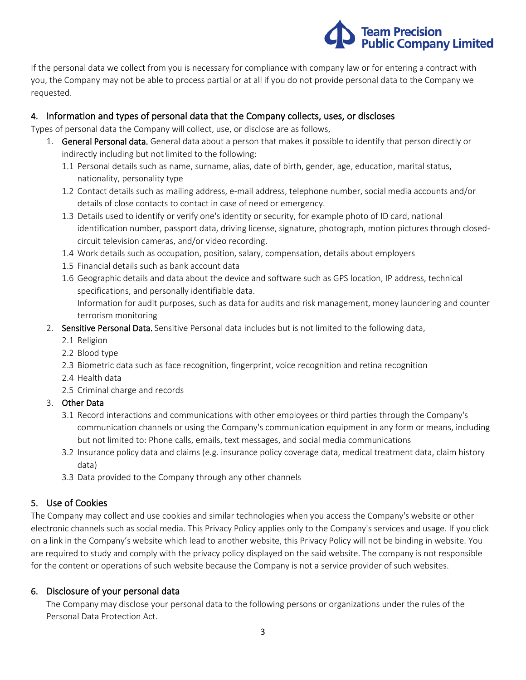

If the personal data we collect from you is necessary for compliance with company law or for entering a contract with you, the Company may not be able to process partial or at all if you do not provide personal data to the Company we requested.

### 4. Information and types of personal data that the Company collects, uses, or discloses

Types of personal data the Company will collect, use, or disclose are as follows,

- 1. General Personal data. General data about a person that makes it possible to identify that person directly or indirectly including but not limited to the following:
	- 1.1 Personal details such as name, surname, alias, date of birth, gender, age, education, marital status, nationality, personality type
	- 1.2 Contact details such as mailing address, e-mail address, telephone number, social media accounts and/or details of close contacts to contact in case of need or emergency.
	- 1.3 Details used to identify or verify one's identity or security, for example photo of ID card, national identification number, passport data, driving license, signature, photograph, motion pictures through closedcircuit television cameras, and/or video recording.
	- 1.4 Work details such as occupation, position, salary, compensation, details about employers
	- 1.5 Financial details such as bank account data
	- 1.6 Geographic details and data about the device and software such as GPS location, IP address, technical specifications, and personally identifiable data.

Information for audit purposes, such as data for audits and risk management, money laundering and counter terrorism monitoring

#### 2. Sensitive Personal Data. Sensitive Personal data includes but is not limited to the following data,

- 2.1 Religion
- 2.2 Blood type
- 2.3 Biometric data such as face recognition, fingerprint, voice recognition and retina recognition
- 2.4 Health data
- 2.5 Criminal charge and records
- 3. Other Data
	- 3.1 Record interactions and communications with other employees or third parties through the Company's communication channels or using the Company's communication equipment in any form or means, including but not limited to: Phone calls, emails, text messages, and social media communications
	- 3.2 Insurance policy data and claims (e.g. insurance policy coverage data, medical treatment data, claim history data)
	- 3.3 Data provided to the Company through any other channels

## 5. Use of Cookies

The Company may collect and use cookies and similar technologies when you access the Company's website or other electronic channels such as social media. This Privacy Policy applies only to the Company's services and usage. If you click on a link in the Company's website which lead to another website, this Privacy Policy will not be binding in website. You are required to study and comply with the privacy policy displayed on the said website. The company is not responsible for the content or operations of such website because the Company is not a service provider of such websites.

#### 6. Disclosure of your personal data

The Company may disclose your personal data to the following persons or organizations under the rules of the Personal Data Protection Act.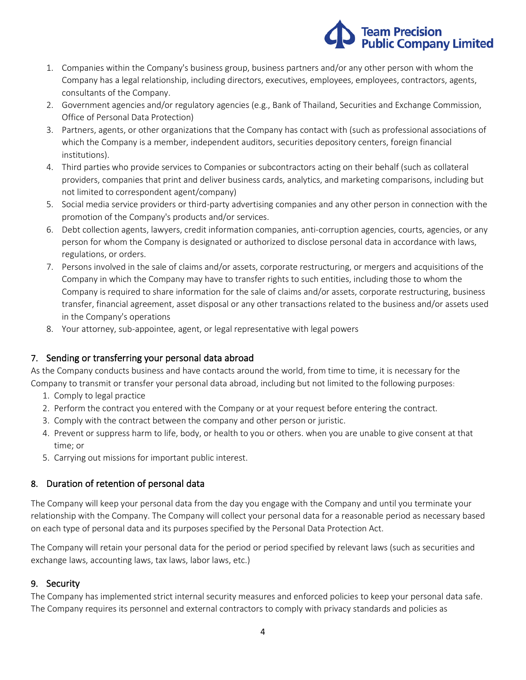

- 1. Companies within the Company's business group, business partners and/or any other person with whom the Company has a legal relationship, including directors, executives, employees, employees, contractors, agents, consultants of the Company.
- 2. Government agencies and/or regulatory agencies (e.g., Bank of Thailand, Securities and Exchange Commission, Office of Personal Data Protection)
- 3. Partners, agents, or other organizations that the Company has contact with (such as professional associations of which the Company is a member, independent auditors, securities depository centers, foreign financial institutions).
- 4. Third parties who provide services to Companies or subcontractors acting on their behalf (such as collateral providers, companies that print and deliver business cards, analytics, and marketing comparisons, including but not limited to correspondent agent/company)
- 5. Social media service providers or third-party advertising companies and any other person in connection with the promotion of the Company's products and/or services.
- 6. Debt collection agents, lawyers, credit information companies, anti-corruption agencies, courts, agencies, or any person for whom the Company is designated or authorized to disclose personal data in accordance with laws, regulations, or orders.
- 7. Persons involved in the sale of claims and/or assets, corporate restructuring, or mergers and acquisitions of the Company in which the Company may have to transfer rights to such entities, including those to whom the Company is required to share information for the sale of claims and/or assets, corporate restructuring, business transfer, financial agreement, asset disposal or any other transactions related to the business and/or assets used in the Company's operations
- 8. Your attorney, sub-appointee, agent, or legal representative with legal powers

## 7. Sending or transferring your personal data abroad

As the Company conducts business and have contacts around the world, from time to time, it is necessary for the Company to transmit or transfer your personal data abroad, including but not limited to the following purposes:

- 1. Comply to legal practice
- 2. Perform the contract you entered with the Company or at your request before entering the contract.
- 3. Comply with the contract between the company and other person or juristic.
- 4. Prevent or suppress harm to life, body, or health to you or others. when you are unable to give consent at that time; or
- 5. Carrying out missions for important public interest.

## 8. Duration of retention of personal data

The Company will keep your personal data from the day you engage with the Company and until you terminate your relationship with the Company. The Company will collect your personal data for a reasonable period as necessary based on each type of personal data and its purposes specified by the Personal Data Protection Act.

The Company will retain your personal data for the period or period specified by relevant laws (such as securities and exchange laws, accounting laws, tax laws, labor laws, etc.)

## 9. Security

The Company has implemented strict internal security measures and enforced policies to keep your personal data safe. The Company requires its personnel and external contractors to comply with privacy standards and policies as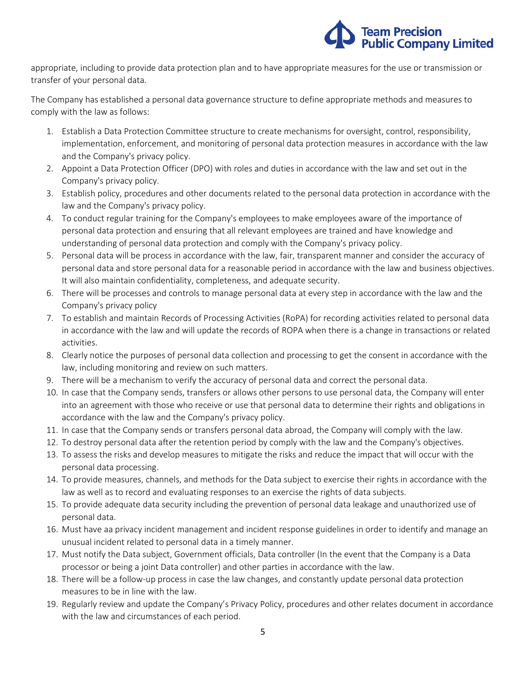

appropriate, including to provide data protection plan and to have appropriate measures for the use or transmission or transfer of your personal data.

The Company has established a personal data governance structure to define appropriate methods and measures to comply with the law as follows:

- 1. Establish a Data Protection Committee structure to create mechanisms for oversight, control, responsibility, implementation, enforcement, and monitoring of personal data protection measures in accordance with the law and the Company's privacy policy.
- 2. Appoint a Data Protection Officer (DPO) with roles and duties in accordance with the law and set out in the Company's privacy policy.
- 3. Establish policy, procedures and other documents related to the personal data protection in accordance with the law and the Company's privacy policy.
- 4. To conduct regular training for the Company's employees to make employees aware of the importance of personal data protection and ensuring that all relevant employees are trained and have knowledge and understanding of personal data protection and comply with the Company's privacy policy.
- 5. Personal data will be process in accordance with the law, fair, transparent manner and consider the accuracy of personal data and store personal data for a reasonable period in accordance with the law and business objectives. It will also maintain confidentiality, completeness, and adequate security.
- 6. There will be processes and controls to manage personal data at every step in accordance with the law and the Company's privacy policy
- 7. To establish and maintain Records of Processing Activities (RoPA) for recording activities related to personal data in accordance with the law and will update the records of ROPA when there is a change in transactions or related activities.
- 8. Clearly notice the purposes of personal data collection and processing to get the consent in accordance with the law, including monitoring and review on such matters.
- 9. There will be a mechanism to verify the accuracy of personal data and correct the personal data.
- 10. In case that the Company sends, transfers or allows other persons to use personal data, the Company will enter into an agreement with those who receive or use that personal data to determine their rights and obligations in accordance with the law and the Company's privacy policy.
- 11. In case that the Company sends or transfers personal data abroad, the Company will comply with the law.
- 12. To destroy personal data after the retention period by comply with the law and the Company's objectives.
- 13. To assess the risks and develop measures to mitigate the risks and reduce the impact that will occur with the personal data processing.
- 14. To provide measures, channels, and methods for the Data subject to exercise their rights in accordance with the law as well as to record and evaluating responses to an exercise the rights of data subjects.
- 15. To provide adequate data security including the prevention of personal data leakage and unauthorized use of personal data.
- 16. Must have aa privacy incident management and incident response guidelines in order to identify and manage an unusual incident related to personal data in a timely manner.
- 17. Must notify the Data subject, Government officials, Data controller (In the event that the Company is a Data processor or being a joint Data controller) and other parties in accordance with the law.
- 18. There will be a follow-up process in case the law changes, and constantly update personal data protection measures to be in line with the law.
- 19. Regularly review and update the Company's Privacy Policy, procedures and other relates document in accordance with the law and circumstances of each period.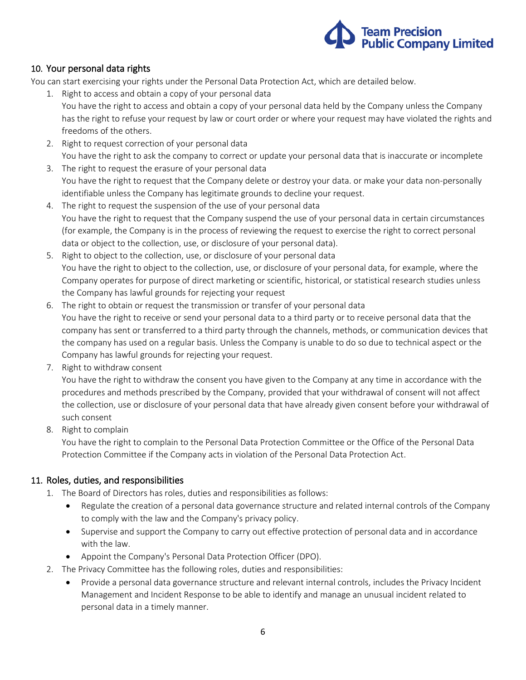

### 10. Your personal data rights

You can start exercising your rights under the Personal Data Protection Act, which are detailed below.

- 1. Right to access and obtain a copy of your personal data
	- You have the right to access and obtain a copy of your personal data held by the Company unless the Company has the right to refuse your request by law or court order or where your request may have violated the rights and freedoms of the others.
	- 2. Right to request correction of your personal data You have the right to ask the company to correct or update your personal data that is inaccurate or incomplete
	- 3. The right to request the erasure of your personal data You have the right to request that the Company delete or destroy your data. or make your data non-personally identifiable unless the Company has legitimate grounds to decline your request.
	- 4. The right to request the suspension of the use of your personal data You have the right to request that the Company suspend the use of your personal data in certain circumstances (for example, the Company is in the process of reviewing the request to exercise the right to correct personal data or object to the collection, use, or disclosure of your personal data).
	- 5. Right to object to the collection, use, or disclosure of your personal data You have the right to object to the collection, use, or disclosure of your personal data, for example, where the Company operates for purpose of direct marketing or scientific, historical, or statistical research studies unless the Company has lawful grounds for rejecting your request
	- 6. The right to obtain or request the transmission or transfer of your personal data You have the right to receive or send your personal data to a third party or to receive personal data that the company has sent or transferred to a third party through the channels, methods, or communication devices that the company has used on a regular basis. Unless the Company is unable to do so due to technical aspect or the Company has lawful grounds for rejecting your request.
	- 7. Right to withdraw consent

You have the right to withdraw the consent you have given to the Company at any time in accordance with the procedures and methods prescribed by the Company, provided that your withdrawal of consent will not affect the collection, use or disclosure of your personal data that have already given consent before your withdrawal of such consent

8. Right to complain

You have the right to complain to the Personal Data Protection Committee or the Office of the Personal Data Protection Committee if the Company acts in violation of the Personal Data Protection Act.

#### 11. Roles, duties, and responsibilities

- 1. The Board of Directors has roles, duties and responsibilities as follows:
	- Regulate the creation of a personal data governance structure and related internal controls of the Company to comply with the law and the Company's privacy policy.
	- Supervise and support the Company to carry out effective protection of personal data and in accordance with the law.
	- Appoint the Company's Personal Data Protection Officer (DPO).
- 2. The Privacy Committee has the following roles, duties and responsibilities:
	- Provide a personal data governance structure and relevant internal controls, includes the Privacy Incident Management and Incident Response to be able to identify and manage an unusual incident related to personal data in a timely manner.